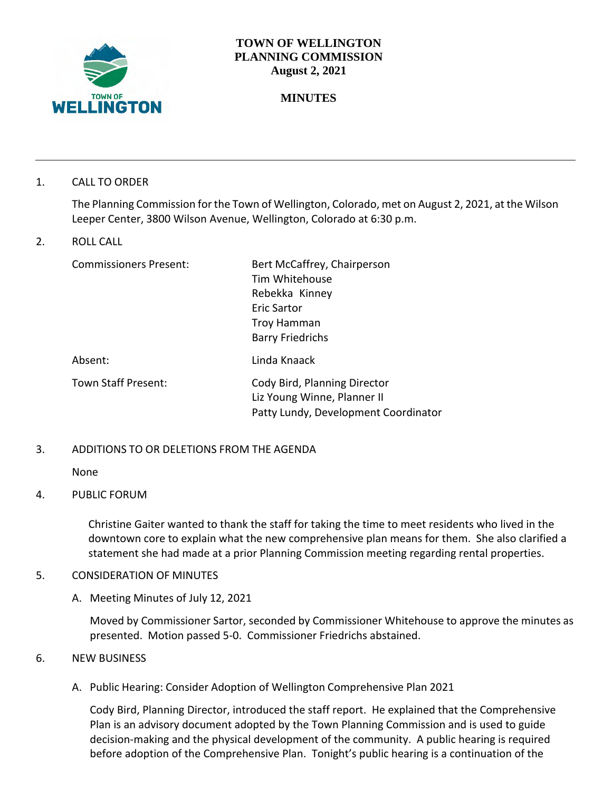

## **TOWN OF WELLINGTON PLANNING COMMISSION August 2, 2021**

# **MINUTES**

### 1. CALL TO ORDER

The Planning Commission for the Town of Wellington, Colorado, met on August 2, 2021, at the Wilson Leeper Center, 3800 Wilson Avenue, Wellington, Colorado at 6:30 p.m.

### 2. ROLL CALL

| <b>Commissioners Present:</b> | Bert McCaffrey, Chairperson          |
|-------------------------------|--------------------------------------|
|                               | Tim Whitehouse                       |
|                               | Rebekka Kinney                       |
|                               | Eric Sartor                          |
|                               | Troy Hamman                          |
|                               | <b>Barry Friedrichs</b>              |
| Absent:                       | Linda Knaack                         |
| <b>Town Staff Present:</b>    | Cody Bird, Planning Director         |
|                               | Liz Young Winne, Planner II          |
|                               | Patty Lundy, Development Coordinator |

## 3. ADDITIONS TO OR DELETIONS FROM THE AGENDA

None

## 4. PUBLIC FORUM

Christine Gaiter wanted to thank the staff for taking the time to meet residents who lived in the downtown core to explain what the new comprehensive plan means for them. She also clarified a statement she had made at a prior Planning Commission meeting regarding rental properties.

#### 5. CONSIDERATION OF MINUTES

A. Meeting Minutes of July 12, 2021

Moved by Commissioner Sartor, seconded by Commissioner Whitehouse to approve the minutes as presented. Motion passed 5-0. Commissioner Friedrichs abstained.

#### 6. NEW BUSINESS

A. Public Hearing: Consider Adoption of Wellington Comprehensive Plan 2021

Cody Bird, Planning Director, introduced the staff report. He explained that the Comprehensive Plan is an advisory document adopted by the Town Planning Commission and is used to guide decision-making and the physical development of the community. A public hearing is required before adoption of the Comprehensive Plan. Tonight's public hearing is a continuation of the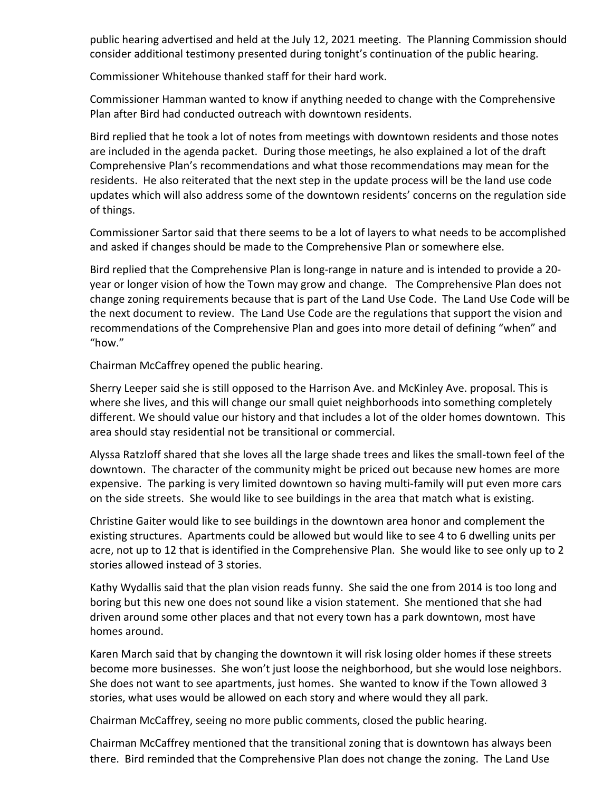public hearing advertised and held at the July 12, 2021 meeting. The Planning Commission should consider additional testimony presented during tonight's continuation of the public hearing.

Commissioner Whitehouse thanked staff for their hard work.

Commissioner Hamman wanted to know if anything needed to change with the Comprehensive Plan after Bird had conducted outreach with downtown residents.

Bird replied that he took a lot of notes from meetings with downtown residents and those notes are included in the agenda packet. During those meetings, he also explained a lot of the draft Comprehensive Plan's recommendations and what those recommendations may mean for the residents. He also reiterated that the next step in the update process will be the land use code updates which will also address some of the downtown residents' concerns on the regulation side of things.

Commissioner Sartor said that there seems to be a lot of layers to what needs to be accomplished and asked if changes should be made to the Comprehensive Plan or somewhere else.

Bird replied that the Comprehensive Plan is long-range in nature and is intended to provide a 20 year or longer vision of how the Town may grow and change. The Comprehensive Plan does not change zoning requirements because that is part of the Land Use Code. The Land Use Code will be the next document to review. The Land Use Code are the regulations that support the vision and recommendations of the Comprehensive Plan and goes into more detail of defining "when" and "how."

Chairman McCaffrey opened the public hearing.

Sherry Leeper said she is still opposed to the Harrison Ave. and McKinley Ave. proposal. This is where she lives, and this will change our small quiet neighborhoods into something completely different. We should value our history and that includes a lot of the older homes downtown. This area should stay residential not be transitional or commercial.

Alyssa Ratzloff shared that she loves all the large shade trees and likes the small-town feel of the downtown. The character of the community might be priced out because new homes are more expensive. The parking is very limited downtown so having multi-family will put even more cars on the side streets. She would like to see buildings in the area that match what is existing.

Christine Gaiter would like to see buildings in the downtown area honor and complement the existing structures. Apartments could be allowed but would like to see 4 to 6 dwelling units per acre, not up to 12 that is identified in the Comprehensive Plan. She would like to see only up to 2 stories allowed instead of 3 stories.

Kathy Wydallis said that the plan vision reads funny. She said the one from 2014 is too long and boring but this new one does not sound like a vision statement. She mentioned that she had driven around some other places and that not every town has a park downtown, most have homes around.

Karen March said that by changing the downtown it will risk losing older homes if these streets become more businesses. She won't just loose the neighborhood, but she would lose neighbors. She does not want to see apartments, just homes. She wanted to know if the Town allowed 3 stories, what uses would be allowed on each story and where would they all park.

Chairman McCaffrey, seeing no more public comments, closed the public hearing.

Chairman McCaffrey mentioned that the transitional zoning that is downtown has always been there. Bird reminded that the Comprehensive Plan does not change the zoning. The Land Use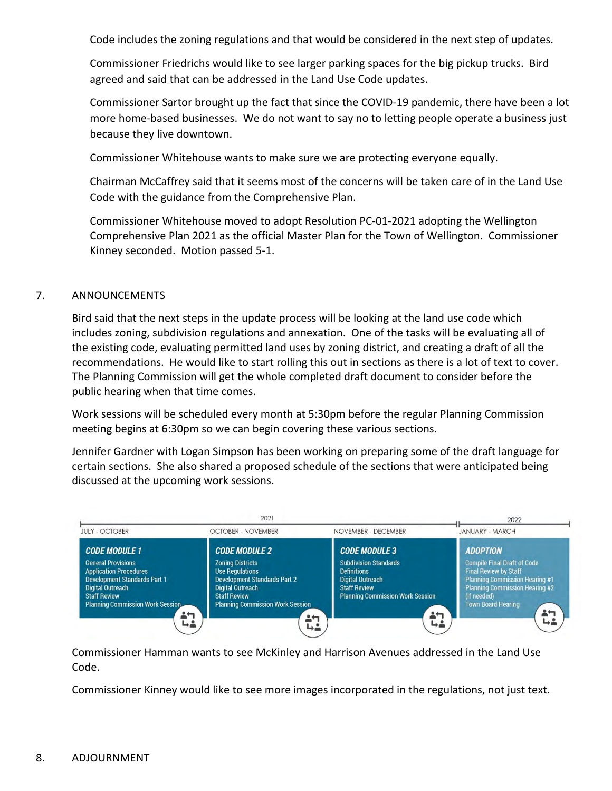Code includes the zoning regulations and that would be considered in the next step of updates.

Commissioner Friedrichs would like to see larger parking spaces for the big pickup trucks. Bird agreed and said that can be addressed in the Land Use Code updates.

Commissioner Sartor brought up the fact that since the COVID-19 pandemic, there have been a lot more home-based businesses. We do not want to say no to letting people operate a business just because they live downtown.

Commissioner Whitehouse wants to make sure we are protecting everyone equally.

Chairman McCaffrey said that it seems most of the concerns will be taken care of in the Land Use Code with the guidance from the Comprehensive Plan.

Commissioner Whitehouse moved to adopt Resolution PC-01-2021 adopting the Wellington Comprehensive Plan 2021 as the official Master Plan for the Town of Wellington. Commissioner Kinney seconded. Motion passed 5-1.

# 7. ANNOUNCEMENTS

Bird said that the next steps in the update process will be looking at the land use code which includes zoning, subdivision regulations and annexation. One of the tasks will be evaluating all of the existing code, evaluating permitted land uses by zoning district, and creating a draft of all the recommendations. He would like to start rolling this out in sections as there is a lot of text to cover. The Planning Commission will get the whole completed draft document to consider before the public hearing when that time comes.

Work sessions will be scheduled every month at 5:30pm before the regular Planning Commission meeting begins at 6:30pm so we can begin covering these various sections.

Jennifer Gardner with Logan Simpson has been working on preparing some of the draft language for certain sections. She also shared a proposed schedule of the sections that were anticipated being discussed at the upcoming work sessions.



Commissioner Hamman wants to see McKinley and Harrison Avenues addressed in the Land Use Code.

Commissioner Kinney would like to see more images incorporated in the regulations, not just text.